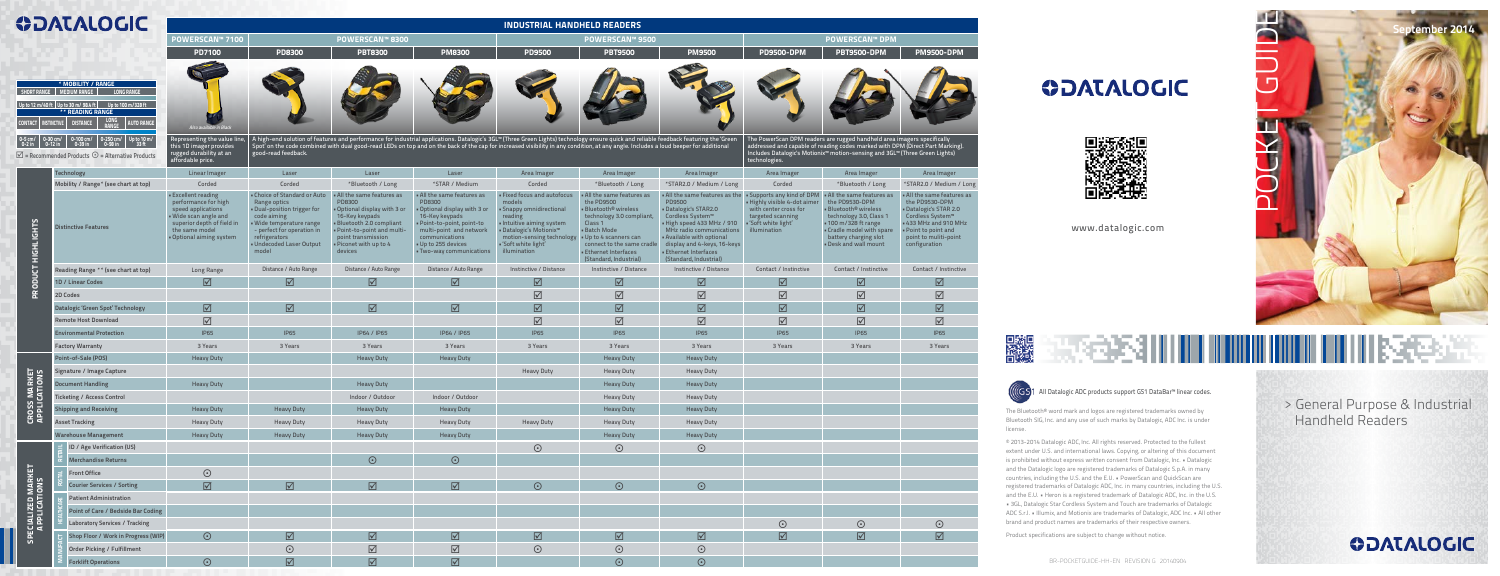| <b>ODATALOGIC</b> |  |
|-------------------|--|
|                   |  |

| <b>WUALALOUIL</b>                                                                                                                                                                                                                                                                                                      |                                                                                                                                                                                                            | <b>INDUSTRIAL HANDHELD READERS</b>                                                 |                                                                                                                                                                                                            |                                                                                                                                                                                                               |                                                                                                                                                                                                                      |                                                                                                                                                                                                                                                                                                                                                                               |                                                                                                                                                                                                                                                                |                                                                                                                                                                                                                                                                               |                                                                                                                                                  |                                                                                                                                                                                                                               |                                                                                                                                                                                                              |  |  |  |
|------------------------------------------------------------------------------------------------------------------------------------------------------------------------------------------------------------------------------------------------------------------------------------------------------------------------|------------------------------------------------------------------------------------------------------------------------------------------------------------------------------------------------------------|------------------------------------------------------------------------------------|------------------------------------------------------------------------------------------------------------------------------------------------------------------------------------------------------------|---------------------------------------------------------------------------------------------------------------------------------------------------------------------------------------------------------------|----------------------------------------------------------------------------------------------------------------------------------------------------------------------------------------------------------------------|-------------------------------------------------------------------------------------------------------------------------------------------------------------------------------------------------------------------------------------------------------------------------------------------------------------------------------------------------------------------------------|----------------------------------------------------------------------------------------------------------------------------------------------------------------------------------------------------------------------------------------------------------------|-------------------------------------------------------------------------------------------------------------------------------------------------------------------------------------------------------------------------------------------------------------------------------|--------------------------------------------------------------------------------------------------------------------------------------------------|-------------------------------------------------------------------------------------------------------------------------------------------------------------------------------------------------------------------------------|--------------------------------------------------------------------------------------------------------------------------------------------------------------------------------------------------------------|--|--|--|
|                                                                                                                                                                                                                                                                                                                        |                                                                                                                                                                                                            | <b>POWERSCAN™ 7100</b>                                                             |                                                                                                                                                                                                            | <b>POWERSCAN™ 8300</b>                                                                                                                                                                                        |                                                                                                                                                                                                                      |                                                                                                                                                                                                                                                                                                                                                                               | <b>POWERSCAN™ 9500</b>                                                                                                                                                                                                                                         |                                                                                                                                                                                                                                                                               | <b>POWERSCAN™ DPM</b>                                                                                                                            |                                                                                                                                                                                                                               |                                                                                                                                                                                                              |  |  |  |
|                                                                                                                                                                                                                                                                                                                        |                                                                                                                                                                                                            | <b>PD7100</b>                                                                      | <b>PD8300</b>                                                                                                                                                                                              | <b>PBT8300</b>                                                                                                                                                                                                | <b>PM8300</b>                                                                                                                                                                                                        | <b>PD9500</b>                                                                                                                                                                                                                                                                                                                                                                 | <b>PBT9500</b>                                                                                                                                                                                                                                                 | <b>PM9500</b>                                                                                                                                                                                                                                                                 | <b>PD9500-DPM</b>                                                                                                                                | <b>PBT9500-DPM</b>                                                                                                                                                                                                            | <b>PM9500-DPM</b>                                                                                                                                                                                            |  |  |  |
| * MOBILITY / RANGE<br><b>LONG RANGE</b><br>SHORT RANGE<br><b>MEDIUM RANGE</b><br>Up to 12 m/40 ft Up to 30 m/98.4 ft Up to 100 m/328 ft<br>** READING RANGE<br><b>AUTO RANGE</b><br><b>CONTACT   INSTINCTIVE</b><br><b>DISTANCE</b><br>Up to $10 \text{ m/s}$<br>33 ft<br>0-100 cm/<br>0-39 in<br>0-250 cm/<br>0-98 in |                                                                                                                                                                                                            | Also available in Black<br>Representing the value line,<br>this 1D imager provides |                                                                                                                                                                                                            |                                                                                                                                                                                                               |                                                                                                                                                                                                                      | A high-end solution of features and performance for industrial applications. Datalogic's 3GL™ (Three Green Lights) technology ensure quick and reliable feedback featuring the 'Green<br>Spot' on the code combined with dual good-read LEDs on top and on the back of the cap for increased visibility in any condition, at any angle. Includes a loud beeper for additional |                                                                                                                                                                                                                                                                |                                                                                                                                                                                                                                                                               | The PowerScan DPM readers are rugged handheld area imagers specifically                                                                          | addressed and capable of reading codes marked with DPM (Direct Part Marking).                                                                                                                                                 |                                                                                                                                                                                                              |  |  |  |
| $\overline{\mathcal{Q}}$ = Recommended Products $\odot$ = Alternative Products                                                                                                                                                                                                                                         |                                                                                                                                                                                                            | rugged durability at an<br>affordable price.                                       | good-read feedback.                                                                                                                                                                                        |                                                                                                                                                                                                               |                                                                                                                                                                                                                      |                                                                                                                                                                                                                                                                                                                                                                               |                                                                                                                                                                                                                                                                |                                                                                                                                                                                                                                                                               | technologies.                                                                                                                                    | Includes Datalogic's Motionix <sup>™</sup> motion-sensing and 3GL™ (Three Green Lights)                                                                                                                                       |                                                                                                                                                                                                              |  |  |  |
|                                                                                                                                                                                                                                                                                                                        | <b>Technology</b>                                                                                                                                                                                          | Linear Imager                                                                      | Laser                                                                                                                                                                                                      | Laser                                                                                                                                                                                                         | Laser                                                                                                                                                                                                                | Area Imager                                                                                                                                                                                                                                                                                                                                                                   | Area Imager                                                                                                                                                                                                                                                    | Area Imager                                                                                                                                                                                                                                                                   | Area Imager                                                                                                                                      | Area Imager                                                                                                                                                                                                                   | Area Imager                                                                                                                                                                                                  |  |  |  |
|                                                                                                                                                                                                                                                                                                                        | Mobility / Range* (see chart at top)                                                                                                                                                                       | Corded                                                                             | Corded                                                                                                                                                                                                     | *Bluetooth / Long                                                                                                                                                                                             | *STAR / Medium                                                                                                                                                                                                       | Corded                                                                                                                                                                                                                                                                                                                                                                        | *Bluetooth / Long                                                                                                                                                                                                                                              | *STAR2.0 / Medium / Long                                                                                                                                                                                                                                                      | Corded                                                                                                                                           | *Bluetooth / Long                                                                                                                                                                                                             | *STAR2.0 / Medium / Long                                                                                                                                                                                     |  |  |  |
| HIGHTICHLS                                                                                                                                                                                                                                                                                                             | <b>Excellent reading</b><br>performance for high<br>speed applications<br>· Wide scan angle and<br>superior depth of field in<br><b>Distinctive Features</b><br>the same model<br>. Optional aiming system |                                                                                    | . Choice of Standard or Auto<br>Range optics<br>. Dual-position trigger for<br>code aiming<br>· Wide temperature range<br>- perfect for operation in<br>refrigerators<br>· Undecoded Laser Output<br>model | . All the same features as<br>PD8300<br>. Optional display with 3 or<br>16-Key keypads<br>. Bluetooth 2.0 compliant<br>- Point-to-point and multi-<br>point transmission<br>. Piconet with up to 4<br>devices | . All the same features as<br>PD8300<br>. Optional display with 3 or<br>16-Key keypads<br>· Point-to-point, point-to<br>multi-point and network<br>communications<br>. Up to 255 devices<br>. Two-way communications | · Fixed focus and autofocus<br>models<br>• Snappy omnidirectional<br>reading<br>Intuitive aiming system<br>■ Datalogic's Motionix™<br>motion-sensing technology<br>"Soft white light"<br>illumination                                                                                                                                                                         | . All the same features as<br>the PD9500<br><b>Bluetooth<sup>®</sup></b> wireless<br>technology 3.0 compliant,<br>Class 1<br><b>Batch Mode</b><br>. Up to 4 scanners can<br>connect to the same cradle<br><b>Ethernet Interfaces</b><br>(Standard, Industrial) | . All the same features as the<br>PD9500<br>Datalogic's STAR2.0<br>Cordless System <sup>™</sup><br>. High speed 433 MHz / 910<br>MHz radio communications<br>. Available with optional<br>display and 4-keys, 16-keys<br><b>Ethernet Interfaces</b><br>(Standard, Industrial) | • Supports any kind of DPM<br>. Highly visible 4-dot aimer<br>with center cross for<br>targeted scanning<br>· 'Soft white light'<br>illumination | . All the same features as<br>the PD9530-DPM<br><b>Bluetooth<sup>®</sup></b> wireless<br>technology 3.0, Class 1<br><b>-100 m/328 ft range</b><br>. Cradle model with spare<br>battery charging slot<br>. Desk and wall mount | . All the same features as<br>the PD9530-DPM<br><b>Datalogic's STAR 2.0</b><br>Cordless System <sup>™</sup><br><b>.433 MHz and 910 MHz</b><br>. Point to point and<br>point to muliti-point<br>configuration |  |  |  |
| $\overline{a}$                                                                                                                                                                                                                                                                                                         | Reading Range ** (see chart at top)<br>Long Range                                                                                                                                                          |                                                                                    | Distance / Auto Range                                                                                                                                                                                      | Distance / Auto Range                                                                                                                                                                                         | Distance / Auto Range                                                                                                                                                                                                | Instinctive / Distance                                                                                                                                                                                                                                                                                                                                                        | Instinctive / Distance                                                                                                                                                                                                                                         | Instinctive / Distance                                                                                                                                                                                                                                                        | Contact / Instinctive                                                                                                                            | Contact / Instinctive                                                                                                                                                                                                         | Contact / Instinctive                                                                                                                                                                                        |  |  |  |
| PRODU                                                                                                                                                                                                                                                                                                                  | 1D / Linear Codes                                                                                                                                                                                          | $\boxtimes$                                                                        | $\overline{\boxtimes}$                                                                                                                                                                                     | ☑                                                                                                                                                                                                             | $\overline{\mathbf{M}}$                                                                                                                                                                                              | $\boxtimes$                                                                                                                                                                                                                                                                                                                                                                   | ☑                                                                                                                                                                                                                                                              | ☑                                                                                                                                                                                                                                                                             | $\overline{\mathbb{Z}}$                                                                                                                          | ☑                                                                                                                                                                                                                             | ☑                                                                                                                                                                                                            |  |  |  |
|                                                                                                                                                                                                                                                                                                                        | 2D Codes                                                                                                                                                                                                   |                                                                                    |                                                                                                                                                                                                            |                                                                                                                                                                                                               |                                                                                                                                                                                                                      | $\overline{\mathbb{M}}$                                                                                                                                                                                                                                                                                                                                                       | $\triangledown$                                                                                                                                                                                                                                                | $\Delta$                                                                                                                                                                                                                                                                      | $\overline{\mathbb{M}}$                                                                                                                          | $\boxed{\textstyle\diagup}$                                                                                                                                                                                                   | $\boxed{\textstyle\diagup}$                                                                                                                                                                                  |  |  |  |
|                                                                                                                                                                                                                                                                                                                        | Datalogic 'Green Spot' Technology                                                                                                                                                                          | ☑                                                                                  | $\overline{\mathbb{Z}}$                                                                                                                                                                                    | $\boxtimes$                                                                                                                                                                                                   | $\overline{\mathbf{M}}$                                                                                                                                                                                              | $\overline{\boxtimes}$                                                                                                                                                                                                                                                                                                                                                        | $\triangledown$                                                                                                                                                                                                                                                | $\overline{\boxtimes}$                                                                                                                                                                                                                                                        | $\overline{\mathbb{Z}}$                                                                                                                          | $\boxed{\textstyle\diagup}$                                                                                                                                                                                                   |                                                                                                                                                                                                              |  |  |  |
|                                                                                                                                                                                                                                                                                                                        | <b>Remote Host Download</b>                                                                                                                                                                                | $\triangledown$                                                                    |                                                                                                                                                                                                            |                                                                                                                                                                                                               |                                                                                                                                                                                                                      | $\overline{\mathbb{M}}$                                                                                                                                                                                                                                                                                                                                                       | $\boxed{\textstyle\diagup}$                                                                                                                                                                                                                                    | $\boxed{\textstyle\diagup}$                                                                                                                                                                                                                                                   | $\overline{\text{M}}$                                                                                                                            | $\boxed{\textstyle\diagup}$                                                                                                                                                                                                   | $\boxed{\checkmark}$                                                                                                                                                                                         |  |  |  |
|                                                                                                                                                                                                                                                                                                                        | <b>Environmental Protection</b>                                                                                                                                                                            | <b>IP65</b>                                                                        | <b>IP65</b>                                                                                                                                                                                                | IP64 / IP65                                                                                                                                                                                                   | IP64 / IP65                                                                                                                                                                                                          | <b>IP65</b>                                                                                                                                                                                                                                                                                                                                                                   | <b>IP65</b>                                                                                                                                                                                                                                                    | <b>IP65</b>                                                                                                                                                                                                                                                                   | <b>IP65</b>                                                                                                                                      | <b>IP65</b>                                                                                                                                                                                                                   | <b>IP65</b>                                                                                                                                                                                                  |  |  |  |
|                                                                                                                                                                                                                                                                                                                        | <b>Factory Warranty</b>                                                                                                                                                                                    | 3 Years                                                                            | 3 Years<br>3 Years                                                                                                                                                                                         |                                                                                                                                                                                                               | 3 Years                                                                                                                                                                                                              | 3 Years                                                                                                                                                                                                                                                                                                                                                                       | 3 Years                                                                                                                                                                                                                                                        | 3 Years                                                                                                                                                                                                                                                                       | 3 Years<br>3 Years                                                                                                                               |                                                                                                                                                                                                                               | 3 Years                                                                                                                                                                                                      |  |  |  |
|                                                                                                                                                                                                                                                                                                                        | Point-of-Sale (POS)                                                                                                                                                                                        | <b>Heavy Duty</b>                                                                  |                                                                                                                                                                                                            | <b>Heavy Duty</b><br><b>Heavy Duty</b>                                                                                                                                                                        |                                                                                                                                                                                                                      | <b>Heavy Duty</b>                                                                                                                                                                                                                                                                                                                                                             |                                                                                                                                                                                                                                                                | <b>Heavy Duty</b>                                                                                                                                                                                                                                                             |                                                                                                                                                  |                                                                                                                                                                                                                               |                                                                                                                                                                                                              |  |  |  |
| <b>EROSS MARKET</b><br>APPLICATIONS                                                                                                                                                                                                                                                                                    | Signature / Image Capture                                                                                                                                                                                  |                                                                                    |                                                                                                                                                                                                            |                                                                                                                                                                                                               |                                                                                                                                                                                                                      | <b>Heavy Duty</b>                                                                                                                                                                                                                                                                                                                                                             | <b>Heavy Duty</b>                                                                                                                                                                                                                                              | <b>Heavy Duty</b>                                                                                                                                                                                                                                                             |                                                                                                                                                  |                                                                                                                                                                                                                               |                                                                                                                                                                                                              |  |  |  |
|                                                                                                                                                                                                                                                                                                                        | <b>Document Handling</b>                                                                                                                                                                                   | <b>Heavy Duty</b>                                                                  | <b>Heavy Duty</b>                                                                                                                                                                                          |                                                                                                                                                                                                               |                                                                                                                                                                                                                      |                                                                                                                                                                                                                                                                                                                                                                               | <b>Heavy Duty</b><br><b>Heavy Duty</b>                                                                                                                                                                                                                         |                                                                                                                                                                                                                                                                               |                                                                                                                                                  |                                                                                                                                                                                                                               |                                                                                                                                                                                                              |  |  |  |
|                                                                                                                                                                                                                                                                                                                        | <b>Ticketing / Access Control</b>                                                                                                                                                                          |                                                                                    |                                                                                                                                                                                                            | Indoor / Outdoor                                                                                                                                                                                              | Indoor / Outdoor                                                                                                                                                                                                     |                                                                                                                                                                                                                                                                                                                                                                               | <b>Heavy Duty</b>                                                                                                                                                                                                                                              | <b>Heavy Duty</b>                                                                                                                                                                                                                                                             |                                                                                                                                                  |                                                                                                                                                                                                                               |                                                                                                                                                                                                              |  |  |  |
|                                                                                                                                                                                                                                                                                                                        | <b>Shipping and Receiving</b>                                                                                                                                                                              | <b>Heavy Duty</b>                                                                  | <b>Heavy Duty</b>                                                                                                                                                                                          | <b>Heavy Duty</b>                                                                                                                                                                                             | <b>Heavy Duty</b>                                                                                                                                                                                                    |                                                                                                                                                                                                                                                                                                                                                                               | <b>Heavy Duty</b><br><b>Heavy Duty</b>                                                                                                                                                                                                                         |                                                                                                                                                                                                                                                                               |                                                                                                                                                  |                                                                                                                                                                                                                               |                                                                                                                                                                                                              |  |  |  |
|                                                                                                                                                                                                                                                                                                                        | <b>Asset Tracking</b>                                                                                                                                                                                      | <b>Heavy Duty</b>                                                                  |                                                                                                                                                                                                            | <b>Heavy Duty</b>                                                                                                                                                                                             | <b>Heavy Duty</b>                                                                                                                                                                                                    | <b>Heavy Duty</b>                                                                                                                                                                                                                                                                                                                                                             | <b>Heavy Duty</b>                                                                                                                                                                                                                                              | <b>Heavy Duty</b>                                                                                                                                                                                                                                                             |                                                                                                                                                  |                                                                                                                                                                                                                               |                                                                                                                                                                                                              |  |  |  |
|                                                                                                                                                                                                                                                                                                                        | <b>Warehouse Management</b>                                                                                                                                                                                | <b>Heavy Duty</b>                                                                  | <b>Heavy Duty</b>                                                                                                                                                                                          | <b>Heavy Duty</b>                                                                                                                                                                                             | <b>Heavy Duty</b>                                                                                                                                                                                                    |                                                                                                                                                                                                                                                                                                                                                                               | <b>Heavy Duty</b>                                                                                                                                                                                                                                              | <b>Heavy Duty</b>                                                                                                                                                                                                                                                             |                                                                                                                                                  |                                                                                                                                                                                                                               |                                                                                                                                                                                                              |  |  |  |
|                                                                                                                                                                                                                                                                                                                        | ID / Age Verification (US)                                                                                                                                                                                 |                                                                                    |                                                                                                                                                                                                            |                                                                                                                                                                                                               |                                                                                                                                                                                                                      | $\odot$                                                                                                                                                                                                                                                                                                                                                                       | $\odot$                                                                                                                                                                                                                                                        | $\odot$                                                                                                                                                                                                                                                                       |                                                                                                                                                  |                                                                                                                                                                                                                               |                                                                                                                                                                                                              |  |  |  |
|                                                                                                                                                                                                                                                                                                                        | <b>Merchandise Returns</b>                                                                                                                                                                                 |                                                                                    |                                                                                                                                                                                                            | $\odot$                                                                                                                                                                                                       | $\odot$                                                                                                                                                                                                              |                                                                                                                                                                                                                                                                                                                                                                               |                                                                                                                                                                                                                                                                |                                                                                                                                                                                                                                                                               |                                                                                                                                                  |                                                                                                                                                                                                                               |                                                                                                                                                                                                              |  |  |  |
|                                                                                                                                                                                                                                                                                                                        | <b>Front Office</b>                                                                                                                                                                                        | $\odot$                                                                            |                                                                                                                                                                                                            |                                                                                                                                                                                                               |                                                                                                                                                                                                                      |                                                                                                                                                                                                                                                                                                                                                                               |                                                                                                                                                                                                                                                                |                                                                                                                                                                                                                                                                               |                                                                                                                                                  |                                                                                                                                                                                                                               |                                                                                                                                                                                                              |  |  |  |
| <b>SPECIALIZED MARKET<br/>APPLICATIONS</b>                                                                                                                                                                                                                                                                             | <b>Courier Services / Sorting</b>                                                                                                                                                                          | $\boxed{\triangle}$                                                                | $\overline{\boxtimes}$                                                                                                                                                                                     | $\overline{\boxtimes}$                                                                                                                                                                                        | $\overline{\mathbb{M}}$                                                                                                                                                                                              | $\odot$                                                                                                                                                                                                                                                                                                                                                                       | $\odot$                                                                                                                                                                                                                                                        | $\odot$                                                                                                                                                                                                                                                                       |                                                                                                                                                  |                                                                                                                                                                                                                               |                                                                                                                                                                                                              |  |  |  |
|                                                                                                                                                                                                                                                                                                                        | <b>Patient Administration</b>                                                                                                                                                                              |                                                                                    |                                                                                                                                                                                                            |                                                                                                                                                                                                               |                                                                                                                                                                                                                      |                                                                                                                                                                                                                                                                                                                                                                               |                                                                                                                                                                                                                                                                |                                                                                                                                                                                                                                                                               |                                                                                                                                                  |                                                                                                                                                                                                                               |                                                                                                                                                                                                              |  |  |  |
|                                                                                                                                                                                                                                                                                                                        | Point of Care / Bedside Bar Coding                                                                                                                                                                         |                                                                                    |                                                                                                                                                                                                            |                                                                                                                                                                                                               |                                                                                                                                                                                                                      |                                                                                                                                                                                                                                                                                                                                                                               |                                                                                                                                                                                                                                                                |                                                                                                                                                                                                                                                                               |                                                                                                                                                  |                                                                                                                                                                                                                               |                                                                                                                                                                                                              |  |  |  |
|                                                                                                                                                                                                                                                                                                                        | <b>Laboratory Services / Tracking</b>                                                                                                                                                                      |                                                                                    |                                                                                                                                                                                                            |                                                                                                                                                                                                               |                                                                                                                                                                                                                      |                                                                                                                                                                                                                                                                                                                                                                               |                                                                                                                                                                                                                                                                |                                                                                                                                                                                                                                                                               | $\odot$                                                                                                                                          | $\odot$                                                                                                                                                                                                                       | $\odot$                                                                                                                                                                                                      |  |  |  |
|                                                                                                                                                                                                                                                                                                                        | Shop Floor / Work in Progress (WIP)                                                                                                                                                                        | $\odot$                                                                            | $\overline{\mathsf{N}}$                                                                                                                                                                                    | $\overline{\mathbb{N}}$                                                                                                                                                                                       | $\overline{\mathbf{N}}$                                                                                                                                                                                              | $\overline{\boxtimes}$                                                                                                                                                                                                                                                                                                                                                        | ☑                                                                                                                                                                                                                                                              | ☑                                                                                                                                                                                                                                                                             | $\overline{\boxtimes}$                                                                                                                           | $\overline{\boxtimes}$                                                                                                                                                                                                        | $\boxed{\triangle}$                                                                                                                                                                                          |  |  |  |
|                                                                                                                                                                                                                                                                                                                        | <b>Order Picking / Fulfillment</b>                                                                                                                                                                         |                                                                                    | $\odot$                                                                                                                                                                                                    | $\overline{\boxtimes}$                                                                                                                                                                                        | $\overline{\mathbb{M}}$                                                                                                                                                                                              | $\odot$                                                                                                                                                                                                                                                                                                                                                                       | $\odot$                                                                                                                                                                                                                                                        | $\odot$                                                                                                                                                                                                                                                                       |                                                                                                                                                  |                                                                                                                                                                                                                               |                                                                                                                                                                                                              |  |  |  |
|                                                                                                                                                                                                                                                                                                                        | <b>Forklift Operations</b>                                                                                                                                                                                 | $\odot$                                                                            | $\overline{\boxtimes}$                                                                                                                                                                                     | $\overline{\mathbf{M}}$                                                                                                                                                                                       | $\overline{\mathbb{M}}$                                                                                                                                                                                              |                                                                                                                                                                                                                                                                                                                                                                               | $\odot$                                                                                                                                                                                                                                                        | $\odot$                                                                                                                                                                                                                                                                       |                                                                                                                                                  |                                                                                                                                                                                                                               |                                                                                                                                                                                                              |  |  |  |



# **ODATALOGIC**



www.datalogic.com

The Bluetooth® word mark and logos are registered trademarks owned by Bluetooth SIG, Inc. and any use of such marks by Datalogic, ADC Inc. is under license.







© 2013-2014 Datalogic ADC, Inc. All rights reserved. Protected to the fullest extent under U.S. and international laws. Copying, or altering of this document is prohibited without express written consent from Datalogic, Inc. • Datalogic and the Datalogic logo are registered trademarks of Datalogic S.p.A. in many countries, including the U.S. and the E.U. • PowerScan and QuickScan are registered trademarks of Datalogic ADC, Inc. in many countries, including the U.S. and the E.U. • Heron is a registered trademark of Datalogic ADC, Inc. in the U.S. • 3GL, Datalogic Star Cordless System and Touch are trademarks of Datalogic ADC S.r.l. • Illumix, and Motionix are trademarks of Datalogic, ADC Inc. • All other brand and product names are trademarks of their respective owners.

Product specifications are subject to change without notice.

BR-POCKETGUIDE-HH-EN REVISION G 20140904

### All Datalogic ADC products support GS1 DataBar™ linear codes.

## > General Purpose & Industrial Handheld Readers